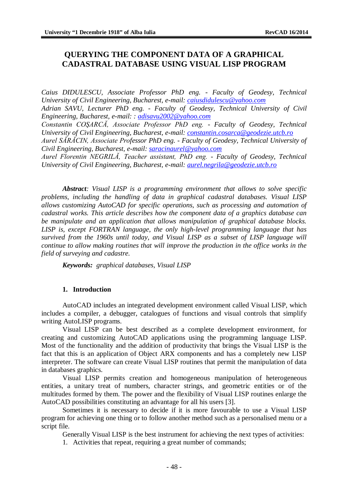# **QUERYING THE COMPONENT DATA OF A GRAPHICAL CADASTRAL DATABASE USING VISUAL LISP PROGRAM**

*Caius DIDULESCU, Associate Professor PhD eng. - Faculty of Geodesy, Technical University of Civil Engineering, Bucharest, e-mail: [caiusdidulescu@yahoo.com](mailto:caiusdidulescu@yahoo.com) Adrian SAVU, Lecturer PhD eng. - Faculty of Geodesy, Technical University of Civil Engineering, Bucharest, e-mail: : [adisavu2002@yahoo.com](mailto:adisavu2002@yahoo.com) Constantin COŞARCĂ, Associate Professor PhD eng. - Faculty of Geodesy, Technical University of Civil Engineering, Bucharest, e-mail: [constantin.cosarca@geodezie.utcb.ro](mailto:constantin.cosarca@geodezie.utcb.ro) Aurel SĂRĂCIN, Associate Professor PhD eng. - Faculty of Geodesy, Technical University of Civil Engineering, Bucharest, e-mail: [saracinaurel@yahoo.com](mailto:saracinaurel@yahoo.com) Aurel Florentin NEGRILĂ, Teacher assistant, PhD eng. - Faculty of Geodesy, Technical University of Civil Engineering, Bucharest, e-mail: [aurel.negrila@geodezie.utcb.ro](mailto:aurel.negrila@geodezie.utcb.ro)*

*Abstract: Visual LISP is a programming environment that allows to solve specific problems, including the handling of data in graphical cadastral databases. Visual LISP allows customizing AutoCAD for specific operations, such as processing and automation of cadastral works. This article describes how the component data of a graphics database can be manipulate and an application that allows manipulation of graphical database blocks. LISP is, except FORTRAN language, the only high-level programming language that has survived from the 1960s until today, and Visual LISP as a subset of LISP language will continue to allow making routines that will improve the production in the office works in the field of surveying and cadastre.*

*Keywords: graphical databases, Visual LISP*

#### **1. Introduction**

AutoCAD includes an integrated development environment called Visual LISP, which includes a compiler, a debugger, catalogues of functions and visual controls that simplify writing AutoLISP programs.

Visual LISP can be best described as a complete development environment, for creating and customizing AutoCAD applications using the programming language LISP. Most of the functionality and the addition of productivity that brings the Visual LISP is the fact that this is an application of Object ARX components and has a completely new LISP interpreter. The software can create Visual LISP routines that permit the manipulation of data in databases graphics.

Visual LISP permits creation and homogeneous manipulation of heterogeneous entities, a unitary treat of numbers, character strings, and geometric entities or of the multitudes formed by them. The power and the flexibility of Visual LISP routines enlarge the AutoCAD possibilities constituting an advantage for all his users [3].

Sometimes it is necessary to decide if it is more favourable to use a Visual LISP program for achieving one thing or to follow another method such as a personalised menu or a script file.

Generally Visual LISP is the best instrument for achieving the next types of activities:

1. Activities that repeat, requiring a great number of commands;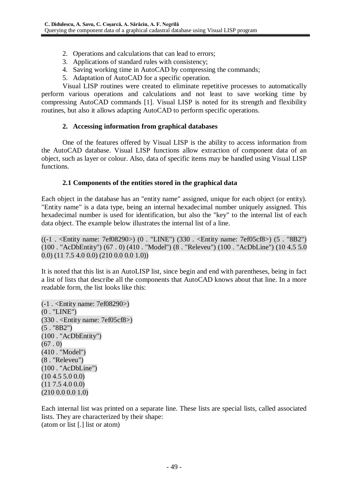- 2. Operations and calculations that can lead to errors;
- 3. Applications of standard rules with consistency;
- 4. Saving working time in AutoCAD by compressing the commands;
- 5. Adaptation of AutoCAD for a specific operation.

Visual LISP routines were created to eliminate repetitive processes to automatically perform various operations and calculations and not least to save working time by compressing AutoCAD commands [1]. Visual LISP is noted for its strength and flexibility routines, but also it allows adapting AutoCAD to perform specific operations.

### **2. Accessing information from graphical databases**

One of the features offered by Visual LISP is the ability to access information from the AutoCAD database. Visual LISP functions allow extraction of component data of an object, such as layer or colour. Also, data of specific items may be handled using Visual LISP functions.

### **2.1 Components of the entities stored in the graphical data**

Each object in the database has an "entity name" assigned, unique for each object (or entity). "Entity name" is a data type, being an internal hexadecimal number uniquely assigned. This hexadecimal number is used for identification, but also the "key" to the internal list of each data object. The example below illustrates the internal list of a line.

((-1 . <Entity name: 7ef08290>) (0 . "LINE") (330 . <Entity name: 7ef05cf8>) (5 . "8B2") (100 . "AcDbEntity") (67 . 0) (410 . "Model") (8 . "Releveu") (100 . "AcDbLine") (10 4.5 5.0 0.0) (11 7.5 4.0 0.0) (210 0.0 0.0 1.0))

It is noted that this list is an AutoLISP list, since begin and end with parentheses, being in fact a list of lists that describe all the components that AutoCAD knows about that line. In a more readable form, the list looks like this:

(-1 . <Entity name: 7ef08290>) (0 . "LINE") (330 . <Entity name: 7ef05cf8>)  $(5. "8B2")$ (100 . "AcDbEntity")  $(67.0)$ (410 . "Model") (8 . "Releveu") (100 . "AcDbLine") (10 4.5 5.0 0.0) (11 7.5 4.0 0.0) (210 0.0 0.0 1.0)

Each internal list was printed on a separate line. These lists are special lists, called associated lists. They are characterized by their shape: (atom or list [.] list or atom)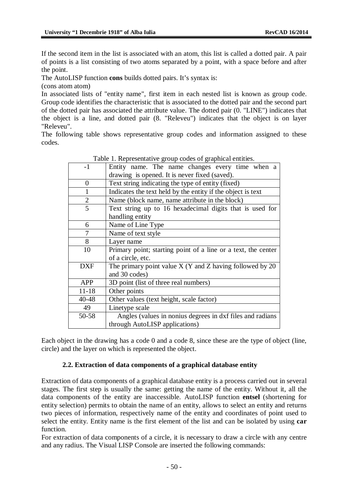If the second item in the list is associated with an atom, this list is called a dotted pair. A pair of points is a list consisting of two atoms separated by a point, with a space before and after the point.

The AutoLISP function **cons** builds dotted pairs. It's syntax is:

(cons atom atom)

In associated lists of "entity name", first item in each nested list is known as group code. Group code identifies the characteristic that is associated to the dotted pair and the second part of the dotted pair has associated the attribute value. The dotted pair (0. "LINE") indicates that the object is a line, and dotted pair (8. "Releveu") indicates that the object is on layer "Releveu".

The following table shows representative group codes and information assigned to these codes.

|                | radio 1. Representative group cours or graphical entities.    |  |  |  |
|----------------|---------------------------------------------------------------|--|--|--|
| $-1$           | Entity name. The name changes every time when a               |  |  |  |
|                | drawing is opened. It is never fixed (saved).                 |  |  |  |
| $\theta$       | Text string indicating the type of entity (fixed)             |  |  |  |
| $\mathbf{1}$   | Indicates the text held by the entity if the object is text   |  |  |  |
| $\overline{c}$ | Name (block name, name attribute in the block)                |  |  |  |
| 5              | Text string up to 16 hexadecimal digits that is used for      |  |  |  |
|                | handling entity                                               |  |  |  |
| 6              | Name of Line Type                                             |  |  |  |
| 7              | Name of text style                                            |  |  |  |
| 8              | Layer name                                                    |  |  |  |
| 10             | Primary point; starting point of a line or a text, the center |  |  |  |
|                | of a circle, etc.                                             |  |  |  |
| DXF            | The primary point value $X$ (Y and Z having followed by 20    |  |  |  |
|                | and 30 codes)                                                 |  |  |  |
| <b>APP</b>     | 3D point (list of three real numbers)                         |  |  |  |
| $11 - 18$      | Other points                                                  |  |  |  |
| 40-48          | Other values (text height, scale factor)                      |  |  |  |
| 49             | Linetype scale                                                |  |  |  |
| 50-58          | Angles (values in nonius degrees in dxf files and radians     |  |  |  |
|                | through AutoLISP applications)                                |  |  |  |

Table 1. Representative group codes of graphical entities.

Each object in the drawing has a code 0 and a code 8, since these are the type of object (line, circle) and the layer on which is represented the object.

## **2.2. Extraction of data components of a graphical database entity**

Extraction of data components of a graphical database entity is a process carried out in several stages. The first step is usually the same: getting the name of the entity. Without it, all the data components of the entity are inaccessible. AutoLISP function **entsel** (shortening for entity selection) permits to obtain the name of an entity, allows to select an entity and returns two pieces of information, respectively name of the entity and coordinates of point used to select the entity. Entity name is the first element of the list and can be isolated by using **car** function.

For extraction of data components of a circle, it is necessary to draw a circle with any centre and any radius. The Visual LISP Console are inserted the following commands: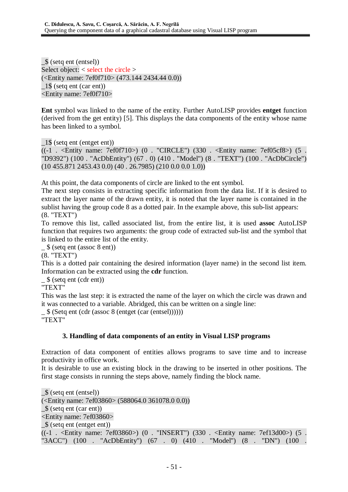\_\$ (setq ent (entsel)) Select object: < select the circle > (<Entity name: 7ef0f710> (473.144 2434.44 0.0)) \_1\$ (setq ent (car ent)) <Entity name: 7ef0f710>

**Ent** symbol was linked to the name of the entity. Further AutoLISP provides **entget** function (derived from the get entity) [5]. This displays the data components of the entity whose name has been linked to a symbol.

\_1\$ (setq ent (entget ent))

 $((-1 \cdot \text{~Activity name: } 7ef0f710>)$  (0 . "CIRCLE") (330 . < Entity name: 7ef05cf8>) (5 . "D9392") (100 . "AcDbEntity") (67 . 0) (410 . "Model") (8 . "TEXT") (100 . "AcDbCircle")  $(10\,455.871\,2453.43\,0.0)\,(40\,.26.7985)\,(210\,0.0\,0.0\,1.0))$ 

At this point, the data components of circle are linked to the ent symbol.

The next step consists in extracting specific information from the data list. If it is desired to extract the layer name of the drawn entity, it is noted that the layer name is contained in the sublist having the group code 8 as a dotted pair. In the example above, this sub-list appears: (8. "TEXT")

To remove this list, called associated list, from the entire list, it is used **assoc** AutoLISP function that requires two arguments: the group code of extracted sub-list and the symbol that is linked to the entire list of the entity.

\_ \$ (setq ent (assoc 8 ent))

(8. "TEXT")

This is a dotted pair containing the desired information (layer name) in the second list item. Information can be extracted using the **cdr** function.

 $\frac{1}{2}$  (setq ent (cdr ent))

"TEXT"

This was the last step: it is extracted the name of the layer on which the circle was drawn and it was connected to a variable. Abridged, this can be written on a single line:

 $\frac{1}{2}$  (Setq ent (cdr (assoc 8 (entget (car (entsel))))))

"TEXT"

## **3. Handling of data components of an entity in Visual LISP programs**

Extraction of data component of entities allows programs to save time and to increase productivity in office work.

It is desirable to use an existing block in the drawing to be inserted in other positions. The first stage consists in running the steps above, namely finding the block name.

\_\$ (setq ent (entsel)) (<Entity name: 7ef03860> (588064.0 361078.0 0.0)) \_\$ (setq ent (car ent)) <Entity name: 7ef03860> \_\$ (setq ent (entget ent))  $((-1)$ . <Entity name: 7ef03860>)  $(0)$ . "INSERT") (330. <Entity name: 7ef13d00>) (5. "3ACC") (100 . "AcDbEntity") (67 . 0) (410 . "Model") (8 . "DN") (100 .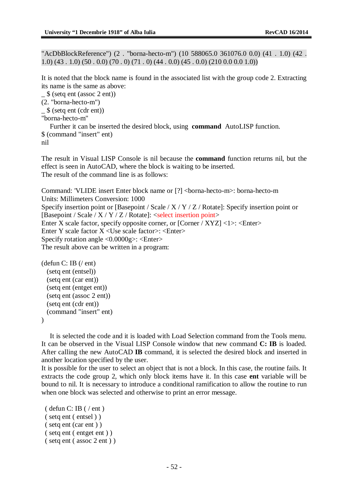"AcDbBlockReference") (2 . "borna-hecto-m") (10 588065.0 361076.0 0.0) (41 . 1.0) (42 .  $1.0$ ) (43, 1.0) (50, 0.0) (70, 0) (71, 0) (44, 0.0) (45, 0.0) (210, 0.0, 0.0, 1.0))

It is noted that the block name is found in the associated list with the group code 2. Extracting its name is the same as above:

 $\frac{1}{2}$  (setq ent (assoc 2 ent))

```
(2. "borna-hecto-m")
```

```
_ $ (setq ent (cdr ent))
```

```
"borna-hecto-m"
```
Further it can be inserted the desired block, using **command** AutoLISP function. \$ (command "insert" ent) nil

The result in Visual LISP Console is nil because the **command** function returns nil, but the effect is seen in AutoCAD, where the block is waiting to be inserted. The result of the command line is as follows:

Command: 'VLIDE insert Enter block name or [?] <br/> <br/>borna-hecto-m>: borna-hecto-m Units: Millimeters Conversion: 1000 Specify insertion point or [Basepoint / Scale / X / Y / Z / Rotate]: Specify insertion point or [Basepoint / Scale /  $X / Y / Z /$  Rotate]: <select insertion point> Enter X scale factor, specify opposite corner, or [Corner / XYZ] <1>: <Enter> Enter Y scale factor  $X$  <Use scale factor>: <Enter> Specify rotation angle <0.0000g>: <Enter> The result above can be written in a program:

```
(defun C: IB (/ ent)
  (setq ent (entsel))
  (setq ent (car ent))
  (setq ent (entget ent))
  (setq ent (assoc 2 ent))
  (setq ent (cdr ent))
  (command "insert" ent)
\lambda
```
It is selected the code and it is loaded with Load Selection command from the Tools menu. It can be observed in the Visual LISP Console window that new command **C: IB** is loaded. After calling the new AutoCAD **IB** command, it is selected the desired block and inserted in another location specified by the user.

It is possible for the user to select an object that is not a block. In this case, the routine fails. It extracts the code group 2, which only block items have it. In this case **ent** variable will be bound to nil. It is necessary to introduce a conditional ramification to allow the routine to run when one block was selected and otherwise to print an error message.

```
\phi ( defun C: IB (\phi ent )
( setq ent ( entsel ) )
( setq ent (car ent ) )
( setq ent ( entget ent ) )
( setq ent ( assoc 2 ent ) )
```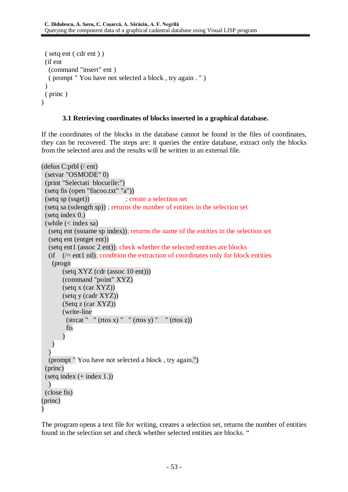```
( setq ent ( cdr ent ) )
 (if ent
  (command "insert" ent )
  ( prompt " You have not selected a block , try again . " )
 \lambda( princ )
\lambda
```
## **3.1 Retrieving coordinates of blocks inserted in a graphical database.**

If the coordinates of the blocks in the database cannot be found in the files of coordinates, they can be recovered. The steps are: it queries the entire database, extract only the blocks from the selected area and the results will be written in an external file.

```
(defun C:ptbl (/ ent)
 (setvar "OSMODE" 0)
 (print "Selectati blocurile:")
 (setq fis (open "fiscoo.txt" "a"))
 (setq sp (ssget)) ; create a selection set
 (setq sa (sslength sp)) ; returns the number of entities in the selection set
 (setq index 0.)
 (while (< index sa)
  (setq ent (ssname sp index)); returns the name of the entities in the selection set
  (setq ent (entget ent))
  (setq ent1 (assoc 2 ent)); check whether the selected entities are blocks
  (if ( /= ent1 nil); condition the extraction of coordinates only for block entities
   (progn
       (setq XYZ (cdr (assoc 10 ent)))
       (command "point" XYZ)
       (setq x (car XYZ))
       (setq y (cadr XYZ))
       (Setq z (car XYZ))
       (write-line
         (\text{strcat } " " (rtos x) " " (rtos y) " " (rtos z))fis
       )
   )
  \overline{)}(prompt " You have not selected a block , try again.")
 (princ)
 (setq index (+ index 1.))\lambda(close fis)
(princ)
)
```
The program opens a text file for writing, creates a selection set, returns the number of entities found in the selection set and check whether selected entities are blocks. "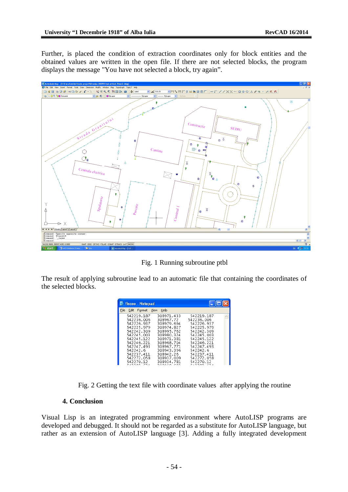Further, is placed the condition of extraction coordinates only for block entities and the obtained values are written in the open file. If there are not selected blocks, the program displays the message "You have not selected a block, try again".



Fig. 1 Running subroutine ptbl

The result of applying subroutine lead to an automatic file that containing the coordinates of the selected blocks.

| fiscoo - Notepad |                                                                                                                                                                                 |                                                                                                                                                                                  |                                                                                                                                                                                 |  |
|------------------|---------------------------------------------------------------------------------------------------------------------------------------------------------------------------------|----------------------------------------------------------------------------------------------------------------------------------------------------------------------------------|---------------------------------------------------------------------------------------------------------------------------------------------------------------------------------|--|
| File             | Edit<br>Format View                                                                                                                                                             | Help                                                                                                                                                                             |                                                                                                                                                                                 |  |
|                  | 542219.187<br>542236.006<br>542226.937<br>542225.979<br>542242.309<br>542245.003<br>542245.122<br>542246.221<br>542247.493<br>542242.6<br>542237.411<br>542272.058<br>542270.12 | 308971.433<br>308967.72<br>308979.694<br>308974.827<br>308995.762<br>308980.324<br>308971.381<br>308968.704<br>308967.771<br>308943.396<br>308942.26<br>308937.009<br>308934.781 | 542219.187<br>542236.006<br>542226.937<br>542225.979<br>542242.309<br>542245.003<br>542245.122<br>542246.221<br>542247.493<br>542242.6<br>542237.411<br>542272.058<br>542270.12 |  |

Fig. 2 Getting the text file with coordinate values after applying the routine

#### **4. Conclusion**

Visual Lisp is an integrated programming environment where AutoLISP programs are developed and debugged. It should not be regarded as a substitute for AutoLISP language, but rather as an extension of AutoLISP language [3]. Adding a fully integrated development